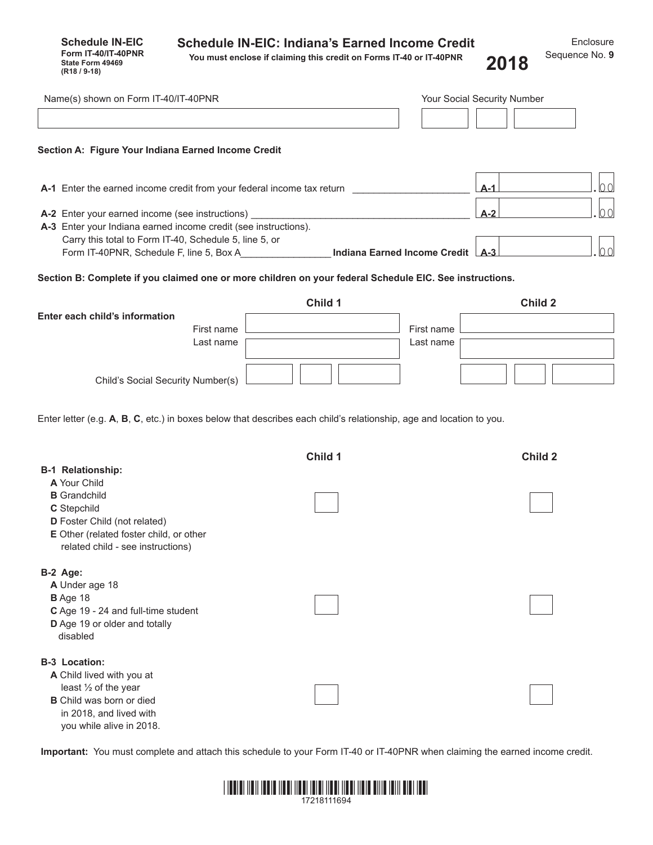| <b>Schedule IN-EIC: Indiana's Earned Income Credit</b> |  |
|--------------------------------------------------------|--|
|--------------------------------------------------------|--|

**Schedule IN-EIC Form IT-40/IT-40PNR State Form 49469**<br>**(R18 / 9-18)** 

**You must enclose if claiming this credit on Forms IT-40 or IT-40PNR (R18 / 9-18) 2018**

| Name(s) shown on Form IT-40/IT-40PNR                                                                                                                                 |         |                         | Your Social Security Number |
|----------------------------------------------------------------------------------------------------------------------------------------------------------------------|---------|-------------------------|-----------------------------|
| Section A: Figure Your Indiana Earned Income Credit                                                                                                                  |         |                         |                             |
| A-1 Enter the earned income credit from your federal income tax return                                                                                               |         |                         | 00<br>$A-1$                 |
| A-2 Enter your earned income (see instructions)<br>A-3 Enter your Indiana earned income credit (see instructions).                                                   |         |                         | 00<br>$A-2$                 |
| Carry this total to Form IT-40, Schedule 5, line 5, or<br>Form IT-40PNR, Schedule F, line 5, Box A <b>Indiana Earned Income Credit</b> A-3                           |         |                         | 00                          |
| Section B: Complete if you claimed one or more children on your federal Schedule EIC. See instructions.                                                              |         |                         |                             |
|                                                                                                                                                                      | Child 1 |                         | Child 2                     |
| Enter each child's information<br>First name<br>Last name                                                                                                            |         | First name<br>Last name |                             |
| Child's Social Security Number(s)                                                                                                                                    |         |                         |                             |
| Enter letter (e.g. A, B, C, etc.) in boxes below that describes each child's relationship, age and location to you.<br><b>B-1 Relationship:</b>                      | Child 1 |                         | Child 2                     |
| A Your Child<br><b>B</b> Grandchild<br>C Stepchild<br>D Foster Child (not related)<br>E Other (related foster child, or other<br>related child - see instructions)   |         |                         |                             |
| B-2 Age:<br>A Under age 18<br><b>B</b> Age 18<br>C Age 19 - 24 and full-time student<br>D Age 19 or older and totally<br>disabled                                    |         |                         |                             |
| <b>B-3 Location:</b><br>A Child lived with you at<br>least 1/2 of the year<br><b>B</b> Child was born or died<br>in 2018, and lived with<br>you while alive in 2018. |         |                         |                             |

**Important:** You must complete and attach this schedule to your Form IT-40 or IT-40PNR when claiming the earned income credit.